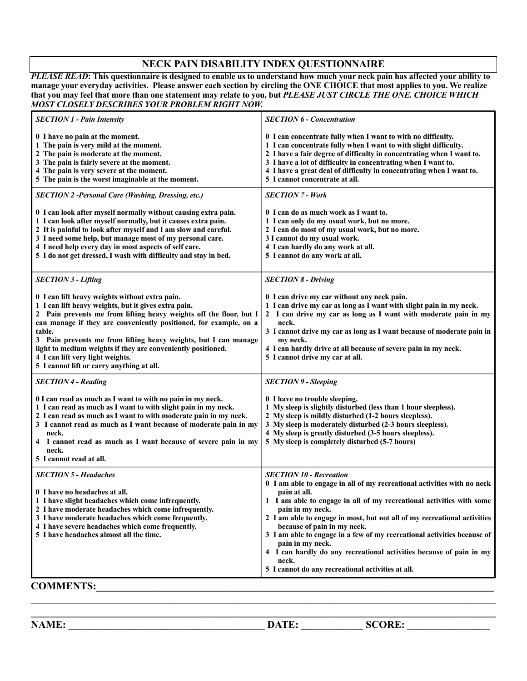## **NECK PAIN DISABILITY INDEX QUESTIONNAIRE**

*PLEASE READ***: This questionnaire is designed to enable us to understand how much your neck pain has affected your ability to manage your everyday activities. Please answer each section by circling the ONE CHOICE that most applies to you. We realize that you may feel that more than one statement may relate to you, but** *PLEASE JUST CIRCLE THE ONE. CHOICE WHICH MOST CLOSELY DESCRIBES YOUR PROBLEM RIGHT NOW.*

| <b>SECTION 1 - Pain Intensity</b>                                                                                                                                                                                                                                                                                                                                                                                                                                               | <b>SECTION 6 - Concentration</b>                                                                                                                                                                                                                                                                                                                                                                                                                                                                                                                                     |
|---------------------------------------------------------------------------------------------------------------------------------------------------------------------------------------------------------------------------------------------------------------------------------------------------------------------------------------------------------------------------------------------------------------------------------------------------------------------------------|----------------------------------------------------------------------------------------------------------------------------------------------------------------------------------------------------------------------------------------------------------------------------------------------------------------------------------------------------------------------------------------------------------------------------------------------------------------------------------------------------------------------------------------------------------------------|
| 0 I have no pain at the moment.<br>1 The pain is very mild at the moment.<br>2 The pain is moderate at the moment.<br>3 The pain is fairly severe at the moment.<br>4 The pain is very severe at the moment.<br>5 The pain is the worst imaginable at the moment.                                                                                                                                                                                                               | 0 I can concentrate fully when I want to with no difficulty.<br>1 I can concentrate fully when I want to with slight difficulty.<br>2 I have a fair degree of difficulty in concentrating when I want to.<br>3 I have a lot of difficulty in concentrating when I want to.<br>4 I have a great deal of difficulty in concentrating when I want to.<br>5 I cannot concentrate at all.                                                                                                                                                                                 |
| <b>SECTION 2 -Personal Care (Washing, Dressing, etc.)</b>                                                                                                                                                                                                                                                                                                                                                                                                                       | <b>SECTION 7 - Work</b>                                                                                                                                                                                                                                                                                                                                                                                                                                                                                                                                              |
| 0 I can look after myself normally without causing extra pain.<br>1 I can look after myself normally, but it causes extra pain.<br>2 It is painful to look after myself and I am slow and careful.<br>3 I need some help, but manage most of my personal care.<br>4 I need help every day in most aspects of self care.<br>5 I do not get dressed, I wash with difficulty and stay in bed.                                                                                      | 0 I can do as much work as I want to.<br>1 I can only do my usual work, but no more.<br>2 I can do most of my usual work, but no more.<br>3 I cannot do my usual work.<br>4 I can hardly do any work at all.<br>5 I cannot do any work at all.                                                                                                                                                                                                                                                                                                                       |
| <b>SECTION 3 - Lifting</b>                                                                                                                                                                                                                                                                                                                                                                                                                                                      | <b>SECTION 8 - Driving</b>                                                                                                                                                                                                                                                                                                                                                                                                                                                                                                                                           |
| 0 I can lift heavy weights without extra pain.<br>1 I can lift heavy weights, but it gives extra pain.<br>2 Pain prevents me from lifting heavy weights off the floor, but I<br>can manage if they are conveniently positioned, for example, on a<br>table.<br>3 Pain prevents me from lifting heavy weights, but I can manage<br>light to medium weights if they are conveniently positioned.<br>4 I can lift very light weights.<br>5 I cannot lift or carry anything at all. | 0 I can drive my car without any neck pain.<br>1 I can drive my car as long as I want with slight pain in my neck.<br>2 I can drive my car as long as I want with moderate pain in my<br>neck.<br>3 I cannot drive my car as long as I want because of moderate pain in<br>my neck.<br>4 I can hardly drive at all because of severe pain in my neck.<br>5 I cannot drive my car at all.                                                                                                                                                                             |
| <b>SECTION 4 - Reading</b>                                                                                                                                                                                                                                                                                                                                                                                                                                                      | <b>SECTION 9 - Sleeping</b>                                                                                                                                                                                                                                                                                                                                                                                                                                                                                                                                          |
| 0 I can read as much as I want to with no pain in my neck.<br>1 I can read as much as I want to with slight pain in my neck.<br>2 I can read as much as I want to with moderate pain in my neck.<br>3 I cannot read as much as I want because of moderate pain in my<br>neck.<br>4 I cannot read as much as I want because of severe pain in my<br>neck.<br>5 I cannot read at all.                                                                                             | 0 I have no trouble sleeping.<br>1 My sleep is slightly disturbed (less than 1 hour sleepless).<br>2 My sleep is mildly disturbed (1-2 hours sleepless).<br>3 My sleep is moderately disturbed (2-3 hours sleepless).<br>4 My sleep is greatly disturbed (3-5 hours sleepless).<br>5 My sleep is completely disturbed (5-7 hours)                                                                                                                                                                                                                                    |
| <b>SECTION 5 - Headaches</b><br>0 I have no headaches at all.<br>1 I have slight headaches which come infrequently.<br>2 I have moderate headaches which come infrequently.<br>3 I have moderate headaches which come frequently.<br>4 I have severe headaches which come frequently.<br>5 I have headaches almost all the time.                                                                                                                                                | <b>SECTION 10 - Recreation</b><br>0 I am able to engage in all of my recreational activities with no neck<br>pain at all.<br>1 I am able to engage in all of my recreational activities with some<br>pain in my neck.<br>2 I am able to engage in most, but not all of my recreational activities<br>because of pain in my neck.<br>3 I am able to engage in a few of my recreational activities because of<br>pain in my neck.<br>4 I can hardly do any recreational activities because of pain in my<br>neck.<br>5 I cannot do any recreational activities at all. |
| <b>COMMENTS:</b>                                                                                                                                                                                                                                                                                                                                                                                                                                                                |                                                                                                                                                                                                                                                                                                                                                                                                                                                                                                                                                                      |

**NAME:**  $\blacksquare$ 

 $\mathcal{L}_\mathcal{L} = \mathcal{L}_\mathcal{L} = \mathcal{L}_\mathcal{L} = \mathcal{L}_\mathcal{L} = \mathcal{L}_\mathcal{L} = \mathcal{L}_\mathcal{L} = \mathcal{L}_\mathcal{L} = \mathcal{L}_\mathcal{L} = \mathcal{L}_\mathcal{L} = \mathcal{L}_\mathcal{L} = \mathcal{L}_\mathcal{L} = \mathcal{L}_\mathcal{L} = \mathcal{L}_\mathcal{L} = \mathcal{L}_\mathcal{L} = \mathcal{L}_\mathcal{L} = \mathcal{L}_\mathcal{L} = \mathcal{L}_\mathcal{L}$